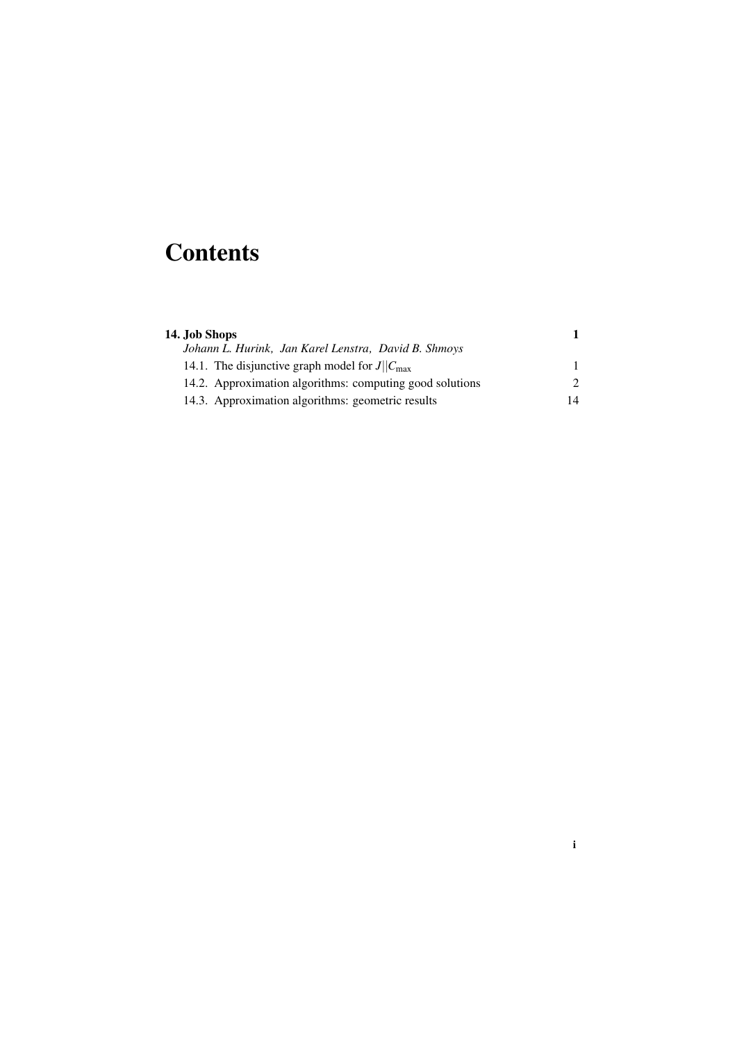# **Contents**

| 14. Job Shops                                             |                             |  |
|-----------------------------------------------------------|-----------------------------|--|
| Johann L. Hurink, Jan Karel Lenstra, David B. Shmoys      |                             |  |
| 14.1. The disjunctive graph model for $J  C_{\text{max}}$ |                             |  |
| 14.2. Approximation algorithms: computing good solutions  | $\mathcal{D}_{\mathcal{L}}$ |  |
| 14.3. Approximation algorithms: geometric results         | 14                          |  |

i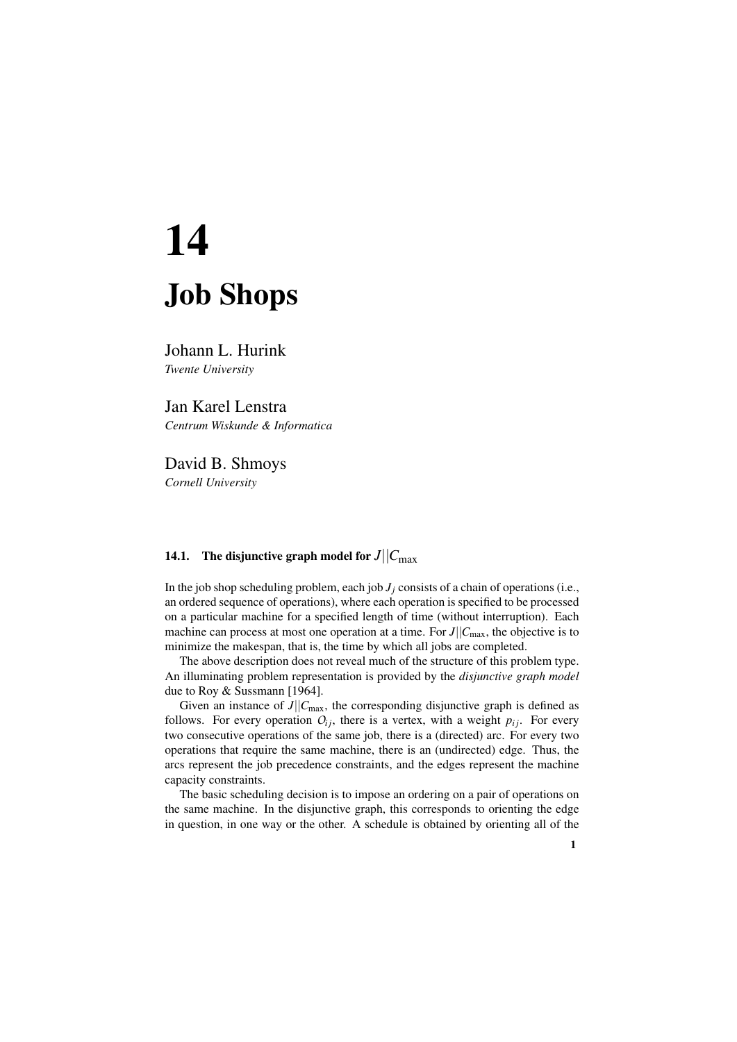# 14 Job Shops

Johann L. Hurink *Twente University*

Jan Karel Lenstra *Centrum Wiskunde & Informatica*

David B. Shmoys *Cornell University*

## 14.1. The disjunctive graph model for  $J||C_{\text{max}}$

In the job shop scheduling problem, each job  $J_i$  consists of a chain of operations (i.e., an ordered sequence of operations), where each operation is specified to be processed on a particular machine for a specified length of time (without interruption). Each machine can process at most one operation at a time. For  $J||C_{\text{max}}$ , the objective is to minimize the makespan, that is, the time by which all jobs are completed.

The above description does not reveal much of the structure of this problem type. An illuminating problem representation is provided by the *disjunctive graph model* due to Roy & Sussmann [1964].

Given an instance of  $J||C_{\text{max}}$ , the corresponding disjunctive graph is defined as follows. For every operation  $O_{ij}$ , there is a vertex, with a weight  $p_{ij}$ . For every two consecutive operations of the same job, there is a (directed) arc. For every two operations that require the same machine, there is an (undirected) edge. Thus, the arcs represent the job precedence constraints, and the edges represent the machine capacity constraints.

The basic scheduling decision is to impose an ordering on a pair of operations on the same machine. In the disjunctive graph, this corresponds to orienting the edge in question, in one way or the other. A schedule is obtained by orienting all of the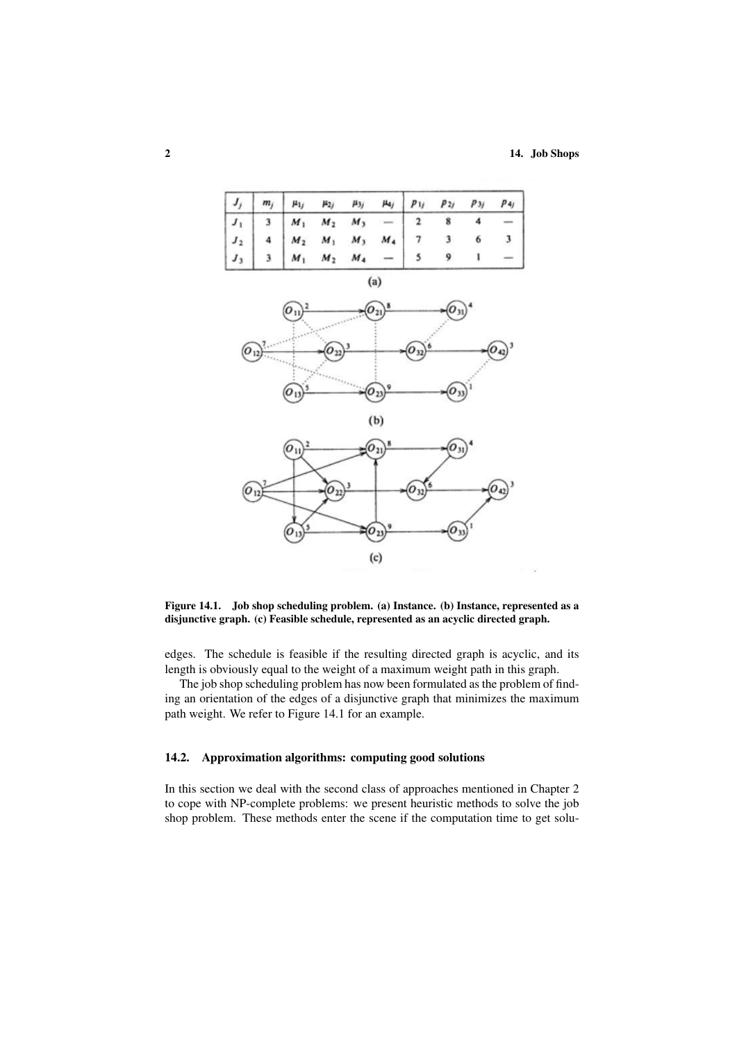

### Figure 14.1. Job shop scheduling problem. (a) Instance. (b) Instance, represented as a disjunctive graph. (c) Feasible schedule, represented as an acyclic directed graph.

edges. The schedule is feasible if the resulting directed graph is acyclic, and its length is obviously equal to the weight of a maximum weight path in this graph.

The job shop scheduling problem has now been formulated as the problem of finding an orientation of the edges of a disjunctive graph that minimizes the maximum path weight. We refer to Figure 14.1 for an example.

#### 14.2. Approximation algorithms: computing good solutions

In this section we deal with the second class of approaches mentioned in Chapter 2 to cope with NP-complete problems: we present heuristic methods to solve the job shop problem. These methods enter the scene if the computation time to get solu-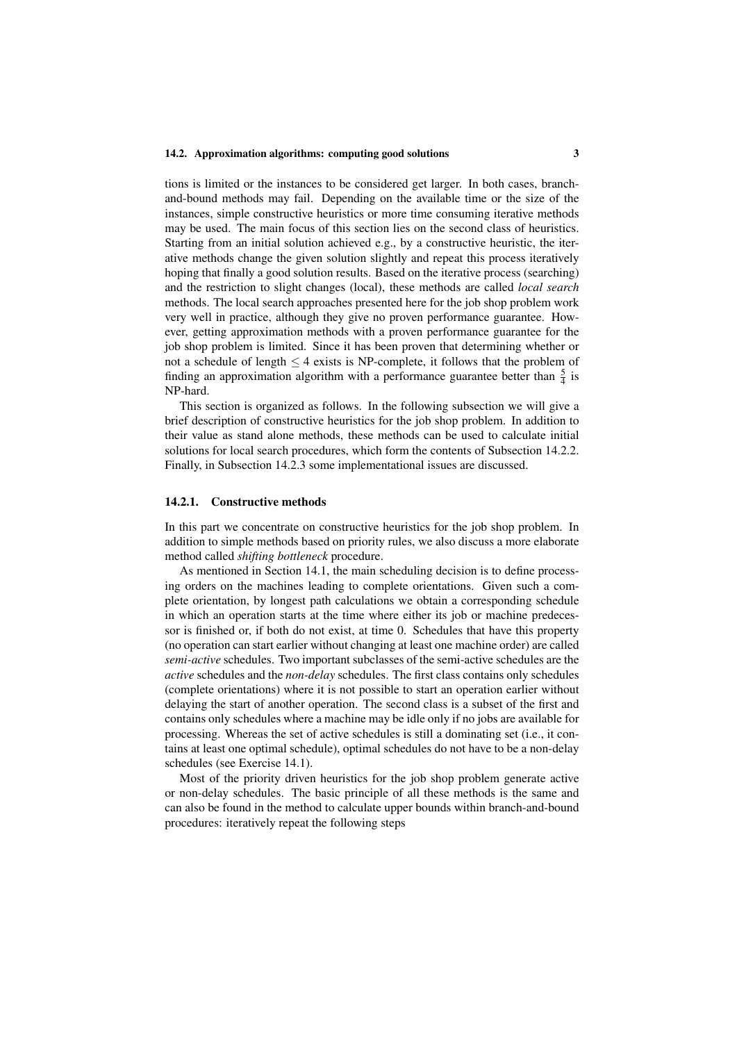tions is limited or the instances to be considered get larger. In both cases, branchand-bound methods may fail. Depending on the available time or the size of the instances, simple constructive heuristics or more time consuming iterative methods may be used. The main focus of this section lies on the second class of heuristics. Starting from an initial solution achieved e.g., by a constructive heuristic, the iterative methods change the given solution slightly and repeat this process iteratively hoping that finally a good solution results. Based on the iterative process (searching) and the restriction to slight changes (local), these methods are called *local search* methods. The local search approaches presented here for the job shop problem work very well in practice, although they give no proven performance guarantee. However, getting approximation methods with a proven performance guarantee for the job shop problem is limited. Since it has been proven that determining whether or not a schedule of length  $\leq$  4 exists is NP-complete, it follows that the problem of finding an approximation algorithm with a performance guarantee better than  $\frac{5}{4}$  is NP-hard.

This section is organized as follows. In the following subsection we will give a brief description of constructive heuristics for the job shop problem. In addition to their value as stand alone methods, these methods can be used to calculate initial solutions for local search procedures, which form the contents of Subsection 14.2.2. Finally, in Subsection 14.2.3 some implementational issues are discussed.

#### 14.2.1. Constructive methods

In this part we concentrate on constructive heuristics for the job shop problem. In addition to simple methods based on priority rules, we also discuss a more elaborate method called *shifting bottleneck* procedure.

As mentioned in Section 14.1, the main scheduling decision is to define processing orders on the machines leading to complete orientations. Given such a complete orientation, by longest path calculations we obtain a corresponding schedule in which an operation starts at the time where either its job or machine predecessor is finished or, if both do not exist, at time 0. Schedules that have this property (no operation can start earlier without changing at least one machine order) are called *semi-active* schedules. Two important subclasses of the semi-active schedules are the *active* schedules and the *non-delay* schedules. The first class contains only schedules (complete orientations) where it is not possible to start an operation earlier without delaying the start of another operation. The second class is a subset of the first and contains only schedules where a machine may be idle only if no jobs are available for processing. Whereas the set of active schedules is still a dominating set (i.e., it contains at least one optimal schedule), optimal schedules do not have to be a non-delay schedules (see Exercise 14.1).

Most of the priority driven heuristics for the job shop problem generate active or non-delay schedules. The basic principle of all these methods is the same and can also be found in the method to calculate upper bounds within branch-and-bound procedures: iteratively repeat the following steps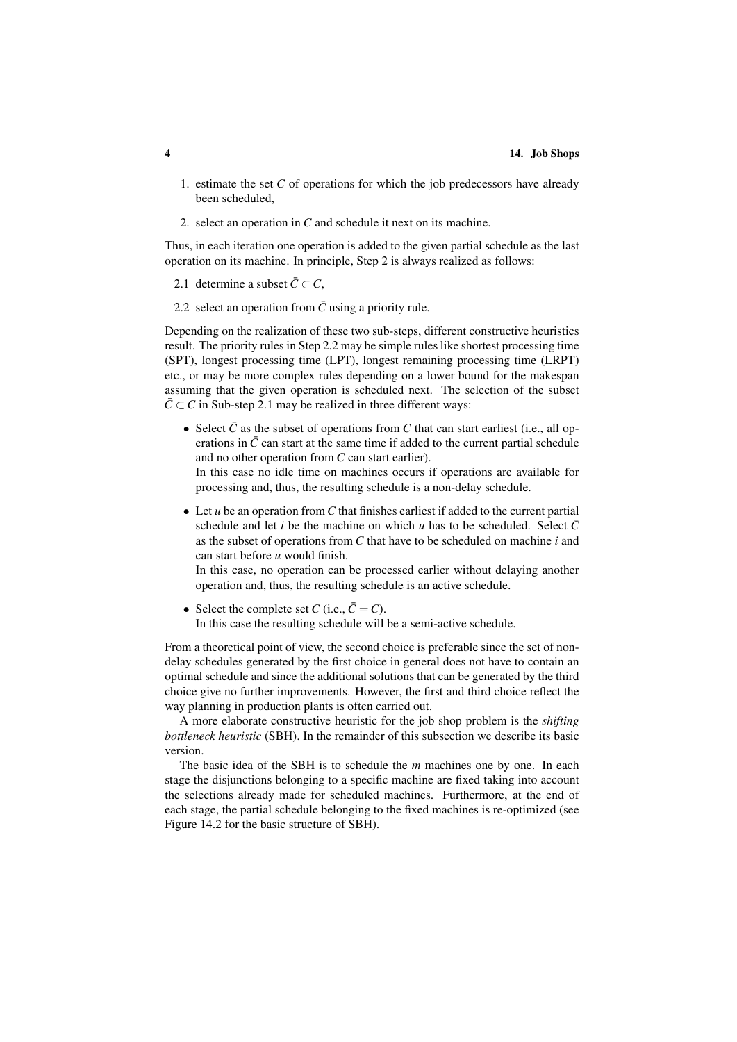- 1. estimate the set *C* of operations for which the job predecessors have already been scheduled,
- 2. select an operation in *C* and schedule it next on its machine.

Thus, in each iteration one operation is added to the given partial schedule as the last operation on its machine. In principle, Step 2 is always realized as follows:

2.1 determine a subset  $\overline{C} \subset C$ ,

2.2 select an operation from  $\bar{C}$  using a priority rule.

Depending on the realization of these two sub-steps, different constructive heuristics result. The priority rules in Step 2.2 may be simple rules like shortest processing time (SPT), longest processing time (LPT), longest remaining processing time (LRPT) etc., or may be more complex rules depending on a lower bound for the makespan assuming that the given operation is scheduled next. The selection of the subset  $\overline{C} \subset C$  in Sub-step 2.1 may be realized in three different ways:

- Select  $\bar{C}$  as the subset of operations from C that can start earliest (i.e., all operations in  $\bar{C}$  can start at the same time if added to the current partial schedule and no other operation from *C* can start earlier). In this case no idle time on machines occurs if operations are available for processing and, thus, the resulting schedule is a non-delay schedule.
- Let *u* be an operation from *C* that finishes earliest if added to the current partial schedule and let *i* be the machine on which *u* has to be scheduled. Select  $\overline{C}$ as the subset of operations from *C* that have to be scheduled on machine *i* and can start before *u* would finish.

In this case, no operation can be processed earlier without delaying another operation and, thus, the resulting schedule is an active schedule.

• Select the complete set *C* (i.e.,  $\bar{C} = C$ ). In this case the resulting schedule will be a semi-active schedule.

From a theoretical point of view, the second choice is preferable since the set of nondelay schedules generated by the first choice in general does not have to contain an optimal schedule and since the additional solutions that can be generated by the third choice give no further improvements. However, the first and third choice reflect the way planning in production plants is often carried out.

A more elaborate constructive heuristic for the job shop problem is the *shifting bottleneck heuristic* (SBH). In the remainder of this subsection we describe its basic version.

The basic idea of the SBH is to schedule the *m* machines one by one. In each stage the disjunctions belonging to a specific machine are fixed taking into account the selections already made for scheduled machines. Furthermore, at the end of each stage, the partial schedule belonging to the fixed machines is re-optimized (see Figure 14.2 for the basic structure of SBH).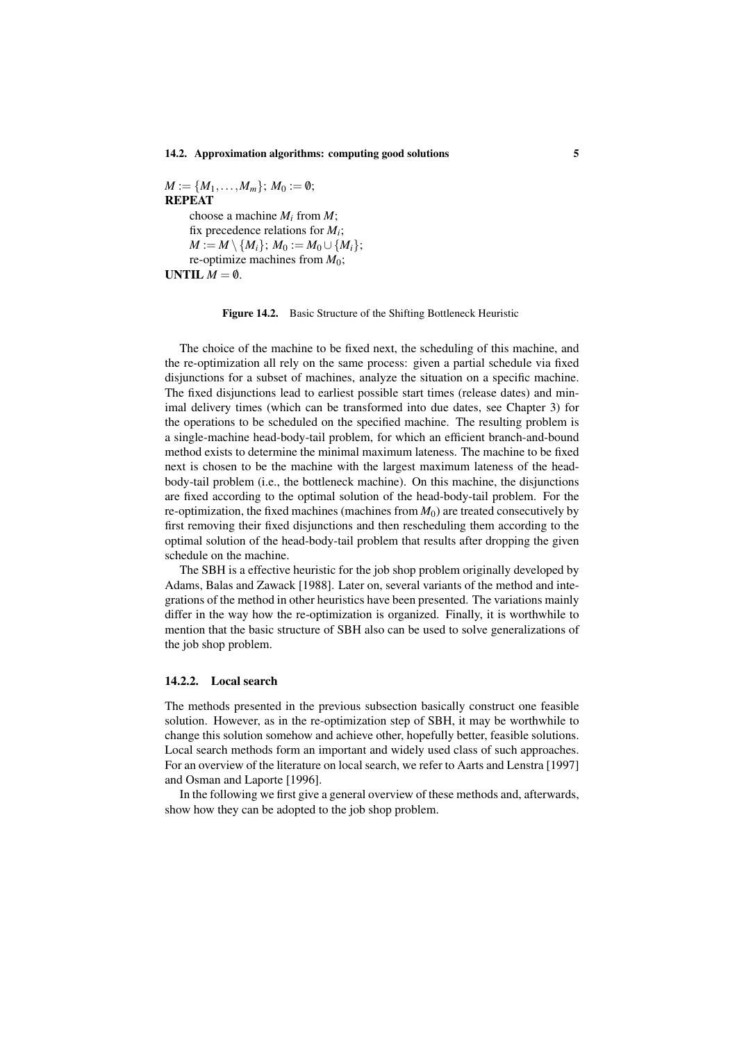$M := \{M_1, \ldots, M_m\}; M_0 := \emptyset;$ REPEAT choose a machine *M<sup>i</sup>* from *M*; fix precedence relations for *M<sup>i</sup>* ; *M* := *M* \ {*M*<sub>*i*</sub>}; *M*<sub>0</sub> := *M*<sub>0</sub> ∪ {*M*<sub>*i*</sub>}; re-optimize machines from *M*0; UNTIL  $M = \emptyset$ .

#### Figure 14.2. Basic Structure of the Shifting Bottleneck Heuristic

The choice of the machine to be fixed next, the scheduling of this machine, and the re-optimization all rely on the same process: given a partial schedule via fixed disjunctions for a subset of machines, analyze the situation on a specific machine. The fixed disjunctions lead to earliest possible start times (release dates) and minimal delivery times (which can be transformed into due dates, see Chapter 3) for the operations to be scheduled on the specified machine. The resulting problem is a single-machine head-body-tail problem, for which an efficient branch-and-bound method exists to determine the minimal maximum lateness. The machine to be fixed next is chosen to be the machine with the largest maximum lateness of the headbody-tail problem (i.e., the bottleneck machine). On this machine, the disjunctions are fixed according to the optimal solution of the head-body-tail problem. For the re-optimization, the fixed machines (machines from  $M_0$ ) are treated consecutively by first removing their fixed disjunctions and then rescheduling them according to the optimal solution of the head-body-tail problem that results after dropping the given schedule on the machine.

The SBH is a effective heuristic for the job shop problem originally developed by Adams, Balas and Zawack [1988]. Later on, several variants of the method and integrations of the method in other heuristics have been presented. The variations mainly differ in the way how the re-optimization is organized. Finally, it is worthwhile to mention that the basic structure of SBH also can be used to solve generalizations of the job shop problem.

#### 14.2.2. Local search

The methods presented in the previous subsection basically construct one feasible solution. However, as in the re-optimization step of SBH, it may be worthwhile to change this solution somehow and achieve other, hopefully better, feasible solutions. Local search methods form an important and widely used class of such approaches. For an overview of the literature on local search, we refer to Aarts and Lenstra [1997] and Osman and Laporte [1996].

In the following we first give a general overview of these methods and, afterwards, show how they can be adopted to the job shop problem.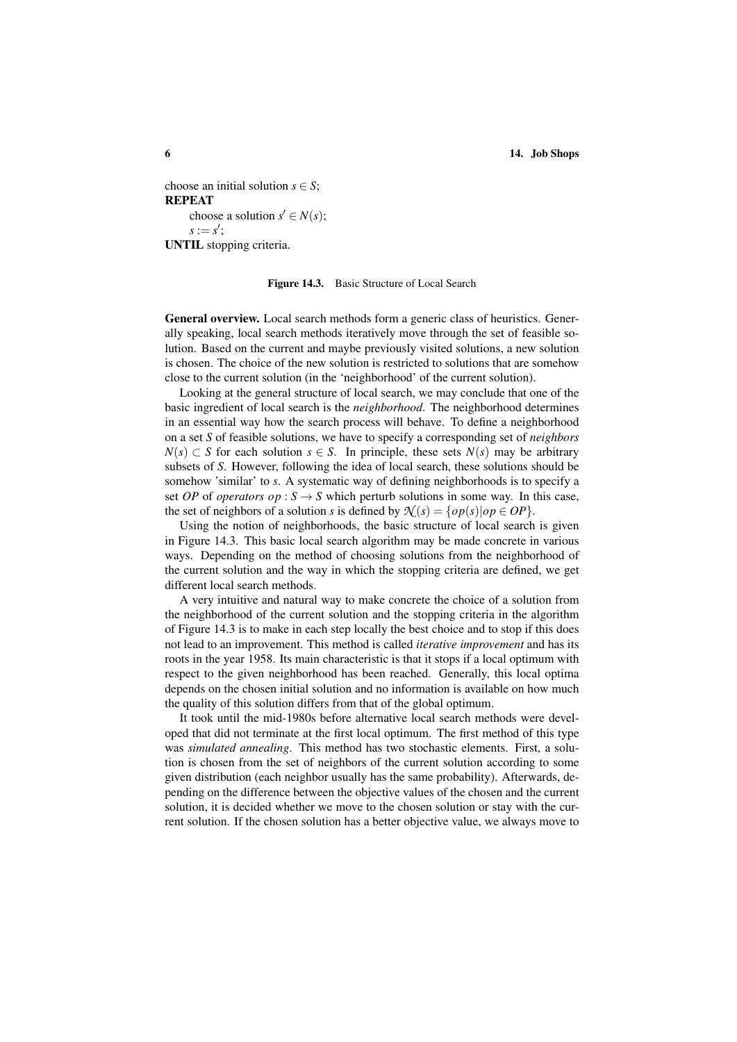choose an initial solution  $s \in S$ ; REPEAT choose a solution  $s' \in N(s)$ ;  $s := s'$ ; UNTIL stopping criteria.

#### Figure 14.3. Basic Structure of Local Search

General overview. Local search methods form a generic class of heuristics. Generally speaking, local search methods iteratively move through the set of feasible solution. Based on the current and maybe previously visited solutions, a new solution is chosen. The choice of the new solution is restricted to solutions that are somehow close to the current solution (in the 'neighborhood' of the current solution).

Looking at the general structure of local search, we may conclude that one of the basic ingredient of local search is the *neighborhood*. The neighborhood determines in an essential way how the search process will behave. To define a neighborhood on a set *S* of feasible solutions, we have to specify a corresponding set of *neighbors N*(*s*) ⊂ *S* for each solution *s* ∈ *S*. In principle, these sets *N*(*s*) may be arbitrary subsets of *S*. However, following the idea of local search, these solutions should be somehow 'similar' to *s*. A systematic way of defining neighborhoods is to specify a set *OP* of *operators op* :  $S \rightarrow S$  which perturb solutions in some way. In this case, the set of neighbors of a solution *s* is defined by  $\mathcal{N}(s) = \{ op(s) | op \in OP \}.$ 

Using the notion of neighborhoods, the basic structure of local search is given in Figure 14.3. This basic local search algorithm may be made concrete in various ways. Depending on the method of choosing solutions from the neighborhood of the current solution and the way in which the stopping criteria are defined, we get different local search methods.

A very intuitive and natural way to make concrete the choice of a solution from the neighborhood of the current solution and the stopping criteria in the algorithm of Figure 14.3 is to make in each step locally the best choice and to stop if this does not lead to an improvement. This method is called *iterative improvement* and has its roots in the year 1958. Its main characteristic is that it stops if a local optimum with respect to the given neighborhood has been reached. Generally, this local optima depends on the chosen initial solution and no information is available on how much the quality of this solution differs from that of the global optimum.

It took until the mid-1980s before alternative local search methods were developed that did not terminate at the first local optimum. The first method of this type was *simulated annealing*. This method has two stochastic elements. First, a solution is chosen from the set of neighbors of the current solution according to some given distribution (each neighbor usually has the same probability). Afterwards, depending on the difference between the objective values of the chosen and the current solution, it is decided whether we move to the chosen solution or stay with the current solution. If the chosen solution has a better objective value, we always move to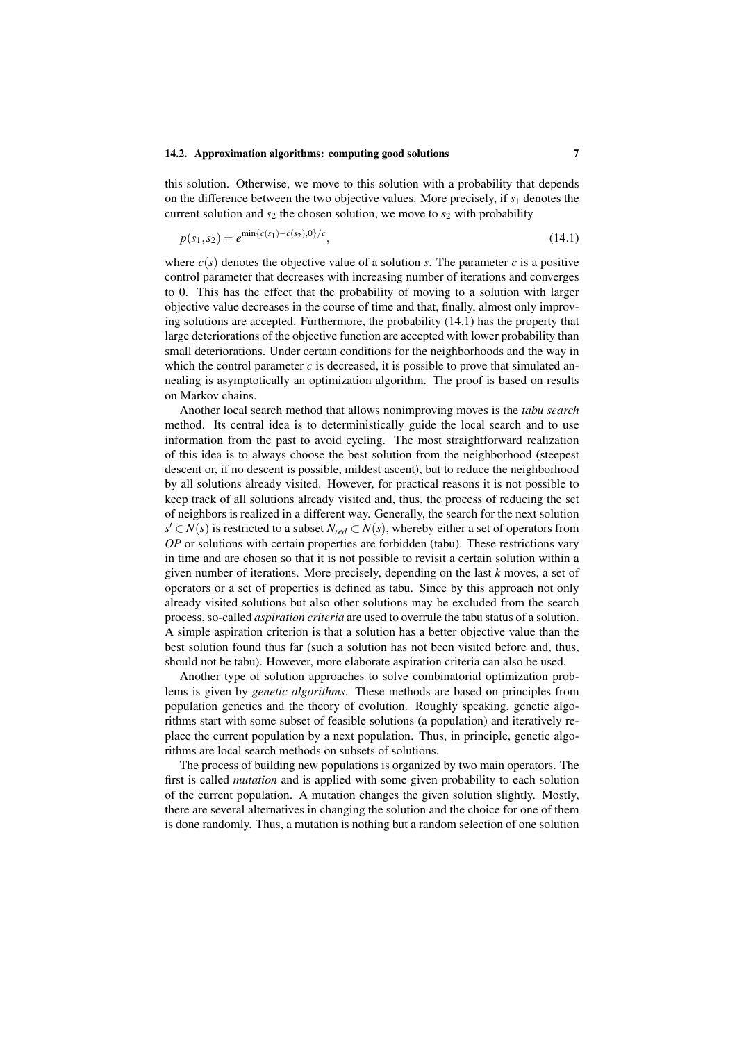this solution. Otherwise, we move to this solution with a probability that depends on the difference between the two objective values. More precisely, if *s*<sup>1</sup> denotes the current solution and  $s_2$  the chosen solution, we move to  $s_2$  with probability

$$
p(s_1, s_2) = e^{\min\{c(s_1) - c(s_2), 0\}/c},\tag{14.1}
$$

where  $c(s)$  denotes the objective value of a solution *s*. The parameter *c* is a positive control parameter that decreases with increasing number of iterations and converges to 0. This has the effect that the probability of moving to a solution with larger objective value decreases in the course of time and that, finally, almost only improving solutions are accepted. Furthermore, the probability (14.1) has the property that large deteriorations of the objective function are accepted with lower probability than small deteriorations. Under certain conditions for the neighborhoods and the way in which the control parameter  $c$  is decreased, it is possible to prove that simulated annealing is asymptotically an optimization algorithm. The proof is based on results on Markov chains.

Another local search method that allows nonimproving moves is the *tabu search* method. Its central idea is to deterministically guide the local search and to use information from the past to avoid cycling. The most straightforward realization of this idea is to always choose the best solution from the neighborhood (steepest descent or, if no descent is possible, mildest ascent), but to reduce the neighborhood by all solutions already visited. However, for practical reasons it is not possible to keep track of all solutions already visited and, thus, the process of reducing the set of neighbors is realized in a different way. Generally, the search for the next solution *s*<sup> $′$ </sup> ∈ *N*(*s*) is restricted to a subset *N<sub>red</sub>* ⊂ *N*(*s*), whereby either a set of operators from *OP* or solutions with certain properties are forbidden (tabu). These restrictions vary in time and are chosen so that it is not possible to revisit a certain solution within a given number of iterations. More precisely, depending on the last *k* moves, a set of operators or a set of properties is defined as tabu. Since by this approach not only already visited solutions but also other solutions may be excluded from the search process, so-called *aspiration criteria* are used to overrule the tabu status of a solution. A simple aspiration criterion is that a solution has a better objective value than the best solution found thus far (such a solution has not been visited before and, thus, should not be tabu). However, more elaborate aspiration criteria can also be used.

Another type of solution approaches to solve combinatorial optimization problems is given by *genetic algorithms*. These methods are based on principles from population genetics and the theory of evolution. Roughly speaking, genetic algorithms start with some subset of feasible solutions (a population) and iteratively replace the current population by a next population. Thus, in principle, genetic algorithms are local search methods on subsets of solutions.

The process of building new populations is organized by two main operators. The first is called *mutation* and is applied with some given probability to each solution of the current population. A mutation changes the given solution slightly. Mostly, there are several alternatives in changing the solution and the choice for one of them is done randomly. Thus, a mutation is nothing but a random selection of one solution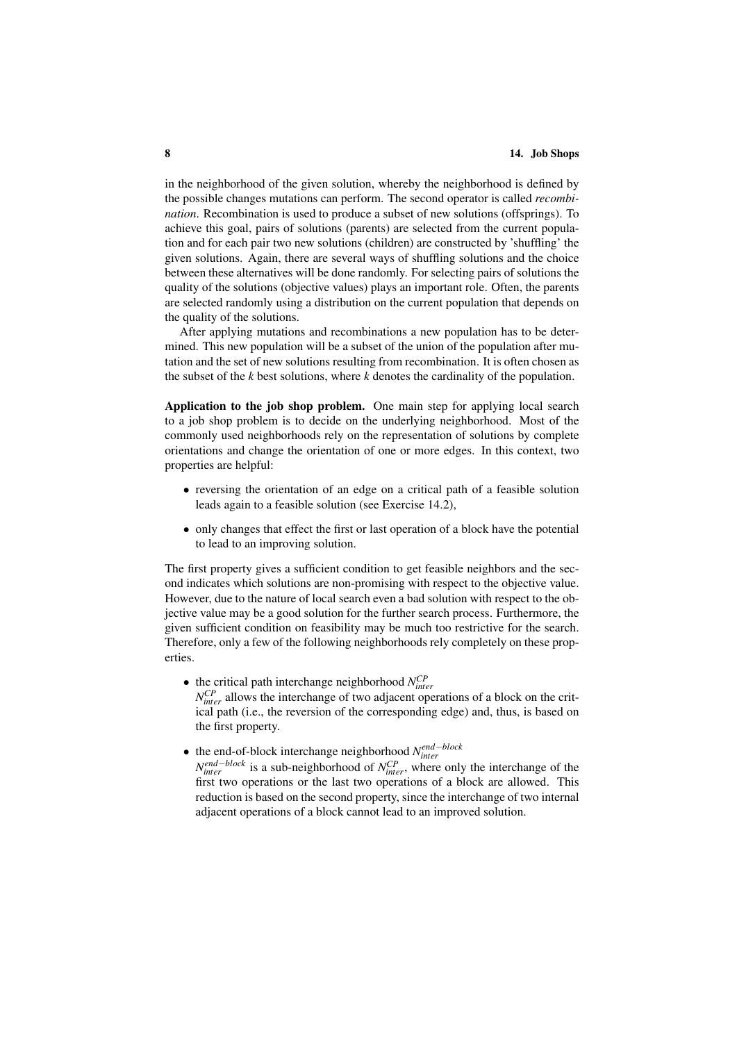in the neighborhood of the given solution, whereby the neighborhood is defined by the possible changes mutations can perform. The second operator is called *recombination*. Recombination is used to produce a subset of new solutions (offsprings). To achieve this goal, pairs of solutions (parents) are selected from the current population and for each pair two new solutions (children) are constructed by 'shuffling' the given solutions. Again, there are several ways of shuffling solutions and the choice between these alternatives will be done randomly. For selecting pairs of solutions the quality of the solutions (objective values) plays an important role. Often, the parents are selected randomly using a distribution on the current population that depends on the quality of the solutions.

After applying mutations and recombinations a new population has to be determined. This new population will be a subset of the union of the population after mutation and the set of new solutions resulting from recombination. It is often chosen as the subset of the *k* best solutions, where *k* denotes the cardinality of the population.

Application to the job shop problem. One main step for applying local search to a job shop problem is to decide on the underlying neighborhood. Most of the commonly used neighborhoods rely on the representation of solutions by complete orientations and change the orientation of one or more edges. In this context, two properties are helpful:

- reversing the orientation of an edge on a critical path of a feasible solution leads again to a feasible solution (see Exercise 14.2),
- only changes that effect the first or last operation of a block have the potential to lead to an improving solution.

The first property gives a sufficient condition to get feasible neighbors and the second indicates which solutions are non-promising with respect to the objective value. However, due to the nature of local search even a bad solution with respect to the objective value may be a good solution for the further search process. Furthermore, the given sufficient condition on feasibility may be much too restrictive for the search. Therefore, only a few of the following neighborhoods rely completely on these properties.

- $\bullet$  the critical path interchange neighborhood  $N_{inter}^{CP}$  $N_{inter}^{CP}$  allows the interchange of two adjacent operations of a block on the critical path (i.e., the reversion of the corresponding edge) and, thus, is based on the first property.
- the end-of-block interchange neighborhood *N end*−*block inter*

*N*<sup>end−block</sup> is a sub-neighborhood of *N*<sup>CP</sup><sub>inter</sub>, where only the interchange of the first two operations or the last two operations of a block are allowed. This reduction is based on the second property, since the interchange of two internal adjacent operations of a block cannot lead to an improved solution.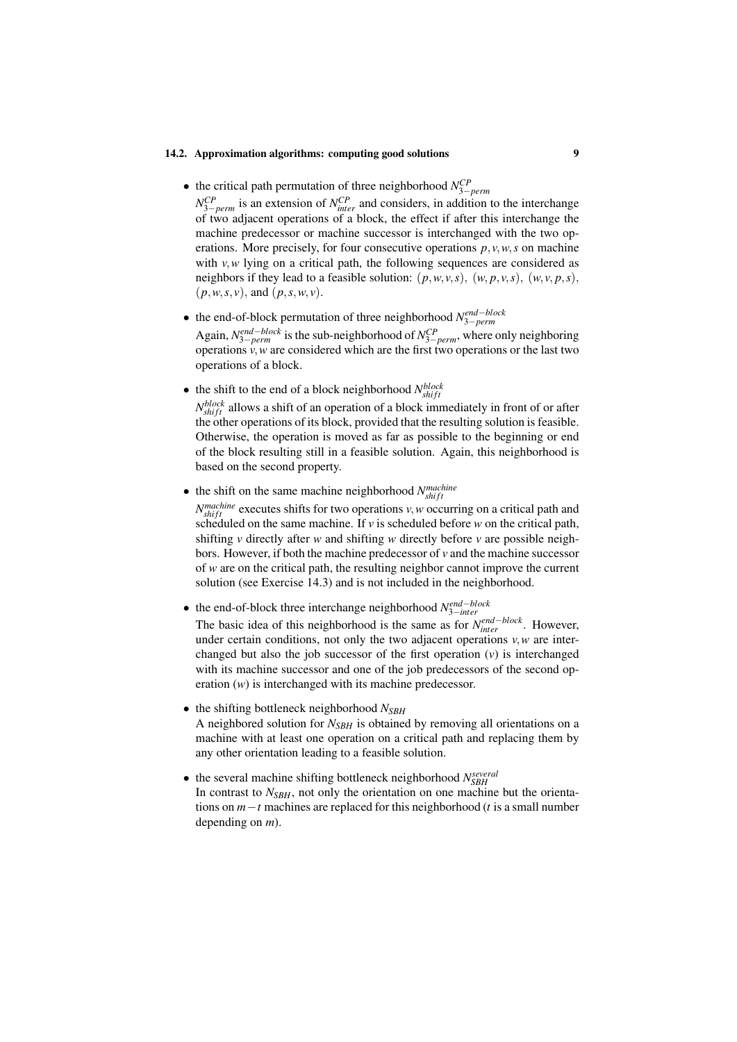• the critical path permutation of three neighborhood *N CP* 3−*perm*

 $N_{3-perm}^{CP}$  is an extension of  $N_{inter}^{CP}$  and considers, in addition to the interchange of two adjacent operations of a block, the effect if after this interchange the machine predecessor or machine successor is interchanged with the two operations. More precisely, for four consecutive operations  $p, v, w, s$  on machine with *v*,*w* lying on a critical path, the following sequences are considered as neighbors if they lead to a feasible solution:  $(p, w, v, s)$ ,  $(w, p, v, s)$ ,  $(w, v, p, s)$ , (*p*,*w*,*s*, *v*), and (*p*,*s*,*w*, *v*).

- the end-of-block permutation of three neighborhood *N end*−*block* 3−*perm* Again,  $N_{3-perm}^{end-block}$  is the sub-neighborhood of  $N_{3-perm}^{CP}$ , where only neighboring operations *v*,*w* are considered which are the first two operations or the last two operations of a block.
- the shift to the end of a block neighborhood  $N_{shift}^{block}$

 $N_{shift}^{block}$  allows a shift of an operation of a block immediately in front of or after the other operations of its block, provided that the resulting solution is feasible. Otherwise, the operation is moved as far as possible to the beginning or end of the block resulting still in a feasible solution. Again, this neighborhood is based on the second property.

• the shift on the same machine neighborhood  $N_{shift}^{machine}$ 

 $N_{shift}^{machine}$  executes shifts for two operations *v*, *w* occurring on a critical path and scheduled on the same machine. If  $\nu$  is scheduled before  $w$  on the critical path, shifting *v* directly after *w* and shifting *w* directly before *v* are possible neighbors. However, if both the machine predecessor of *v* and the machine successor of *w* are on the critical path, the resulting neighbor cannot improve the current solution (see Exercise 14.3) and is not included in the neighborhood.

• the end-of-block three interchange neighborhood *N end*−*block* 3−*inter*

The basic idea of this neighborhood is the same as for  $N_{inter}^{end-block}$ . However, under certain conditions, not only the two adjacent operations *v*,*w* are interchanged but also the job successor of the first operation (*v*) is interchanged with its machine successor and one of the job predecessors of the second operation (*w*) is interchanged with its machine predecessor.

- the shifting bottleneck neighborhood *NSBH* A neighbored solution for  $N_{SBH}$  is obtained by removing all orientations on a machine with at least one operation on a critical path and replacing them by any other orientation leading to a feasible solution.
- $\bullet$  the several machine shifting bottleneck neighborhood  $N_{SBH}^{several}$ In contrast to  $N_{SBH}$ , not only the orientation on one machine but the orientations on *m*−*t* machines are replaced for this neighborhood (*t* is a small number depending on *m*).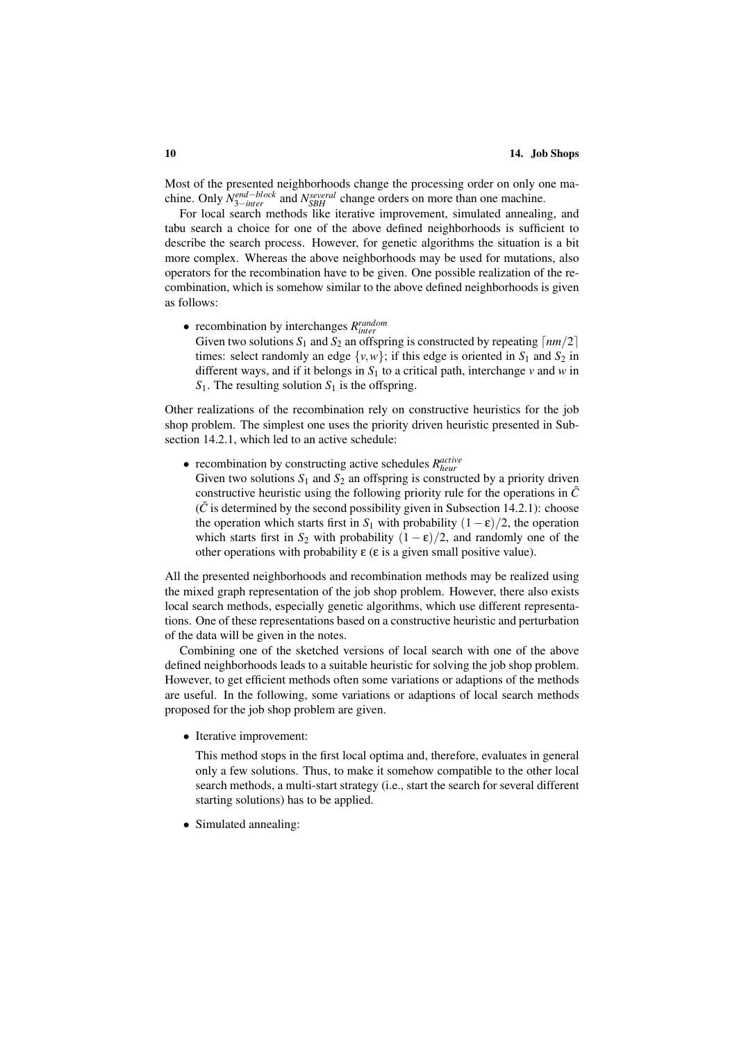Most of the presented neighborhoods change the processing order on only one machine. Only  $N_{3-inter}^{end-block}$  and  $N_{SBH}^{several}$  change orders on more than one machine.

For local search methods like iterative improvement, simulated annealing, and tabu search a choice for one of the above defined neighborhoods is sufficient to describe the search process. However, for genetic algorithms the situation is a bit more complex. Whereas the above neighborhoods may be used for mutations, also operators for the recombination have to be given. One possible realization of the recombination, which is somehow similar to the above defined neighborhoods is given as follows:

• recombination by interchanges  $R_{inter}^{random}$ 

Given two solutions  $S_1$  and  $S_2$  an offspring is constructed by repeating  $\lceil nm/2 \rceil$ times: select randomly an edge  $\{v, w\}$ ; if this edge is oriented in  $S_1$  and  $S_2$  in different ways, and if it belongs in  $S_1$  to a critical path, interchange *v* and *w* in  $S_1$ . The resulting solution  $S_1$  is the offspring.

Other realizations of the recombination rely on constructive heuristics for the job shop problem. The simplest one uses the priority driven heuristic presented in Subsection 14.2.1, which led to an active schedule:

• recombination by constructing active schedules  $R_{heur}^{active}$ Given two solutions  $S_1$  and  $S_2$  an offspring is constructed by a priority driven constructive heuristic using the following priority rule for the operations in  $\bar{C}$  $(\bar{C})$  is determined by the second possibility given in Subsection 14.2.1): choose the operation which starts first in  $S_1$  with probability  $(1 - \varepsilon)/2$ , the operation

other operations with probability  $\varepsilon$  ( $\varepsilon$  is a given small positive value).

which starts first in  $S_2$  with probability  $(1 - \varepsilon)/2$ , and randomly one of the

All the presented neighborhoods and recombination methods may be realized using the mixed graph representation of the job shop problem. However, there also exists local search methods, especially genetic algorithms, which use different representations. One of these representations based on a constructive heuristic and perturbation of the data will be given in the notes.

Combining one of the sketched versions of local search with one of the above defined neighborhoods leads to a suitable heuristic for solving the job shop problem. However, to get efficient methods often some variations or adaptions of the methods are useful. In the following, some variations or adaptions of local search methods proposed for the job shop problem are given.

• Iterative improvement:

This method stops in the first local optima and, therefore, evaluates in general only a few solutions. Thus, to make it somehow compatible to the other local search methods, a multi-start strategy (i.e., start the search for several different starting solutions) has to be applied.

• Simulated annealing: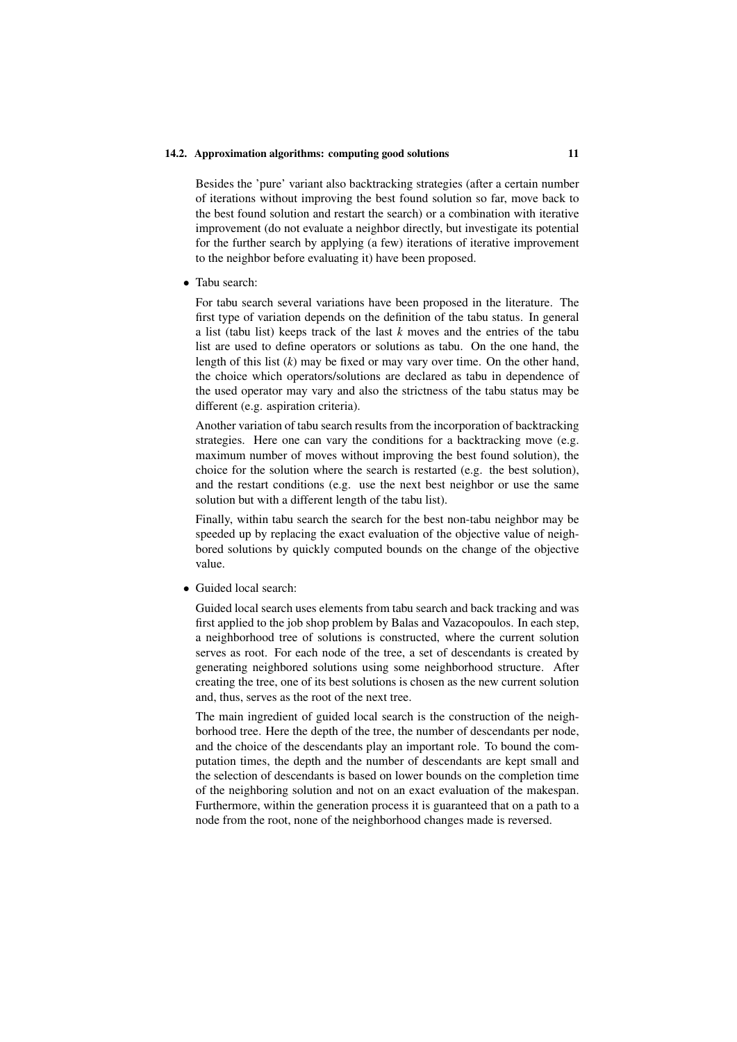Besides the 'pure' variant also backtracking strategies (after a certain number of iterations without improving the best found solution so far, move back to the best found solution and restart the search) or a combination with iterative improvement (do not evaluate a neighbor directly, but investigate its potential for the further search by applying (a few) iterations of iterative improvement to the neighbor before evaluating it) have been proposed.

• Tabu search:

For tabu search several variations have been proposed in the literature. The first type of variation depends on the definition of the tabu status. In general a list (tabu list) keeps track of the last *k* moves and the entries of the tabu list are used to define operators or solutions as tabu. On the one hand, the length of this list (*k*) may be fixed or may vary over time. On the other hand, the choice which operators/solutions are declared as tabu in dependence of the used operator may vary and also the strictness of the tabu status may be different (e.g. aspiration criteria).

Another variation of tabu search results from the incorporation of backtracking strategies. Here one can vary the conditions for a backtracking move (e.g. maximum number of moves without improving the best found solution), the choice for the solution where the search is restarted (e.g. the best solution), and the restart conditions (e.g. use the next best neighbor or use the same solution but with a different length of the tabu list).

Finally, within tabu search the search for the best non-tabu neighbor may be speeded up by replacing the exact evaluation of the objective value of neighbored solutions by quickly computed bounds on the change of the objective value.

• Guided local search:

Guided local search uses elements from tabu search and back tracking and was first applied to the job shop problem by Balas and Vazacopoulos. In each step, a neighborhood tree of solutions is constructed, where the current solution serves as root. For each node of the tree, a set of descendants is created by generating neighbored solutions using some neighborhood structure. After creating the tree, one of its best solutions is chosen as the new current solution and, thus, serves as the root of the next tree.

The main ingredient of guided local search is the construction of the neighborhood tree. Here the depth of the tree, the number of descendants per node, and the choice of the descendants play an important role. To bound the computation times, the depth and the number of descendants are kept small and the selection of descendants is based on lower bounds on the completion time of the neighboring solution and not on an exact evaluation of the makespan. Furthermore, within the generation process it is guaranteed that on a path to a node from the root, none of the neighborhood changes made is reversed.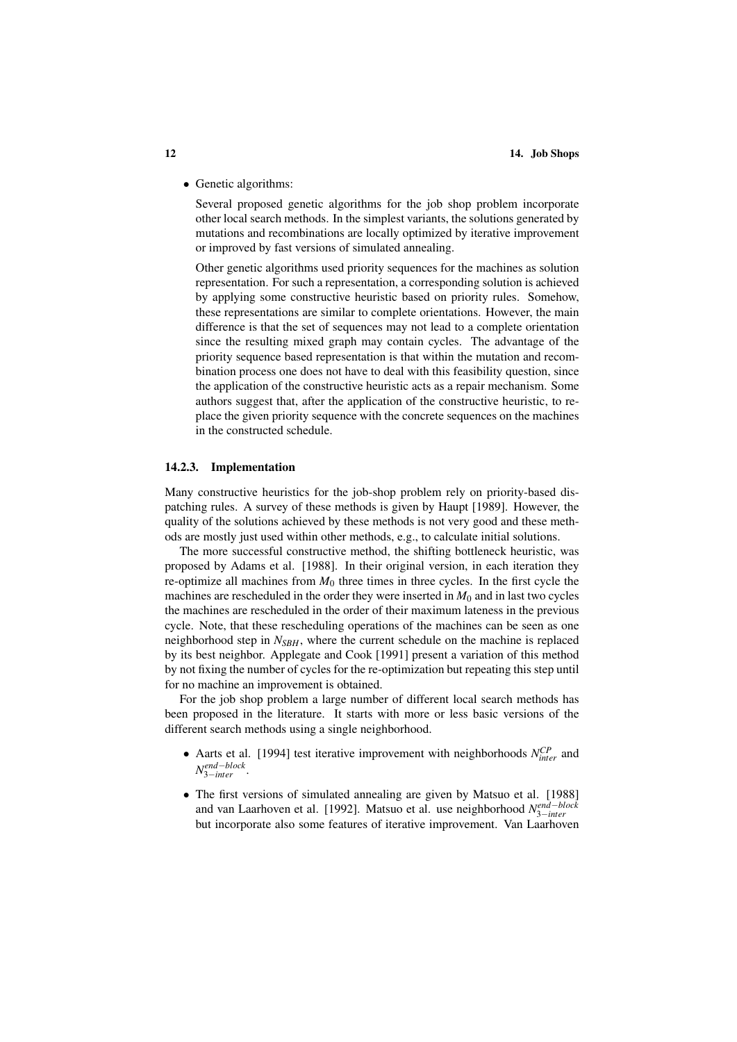• Genetic algorithms:

Several proposed genetic algorithms for the job shop problem incorporate other local search methods. In the simplest variants, the solutions generated by mutations and recombinations are locally optimized by iterative improvement or improved by fast versions of simulated annealing.

Other genetic algorithms used priority sequences for the machines as solution representation. For such a representation, a corresponding solution is achieved by applying some constructive heuristic based on priority rules. Somehow, these representations are similar to complete orientations. However, the main difference is that the set of sequences may not lead to a complete orientation since the resulting mixed graph may contain cycles. The advantage of the priority sequence based representation is that within the mutation and recombination process one does not have to deal with this feasibility question, since the application of the constructive heuristic acts as a repair mechanism. Some authors suggest that, after the application of the constructive heuristic, to replace the given priority sequence with the concrete sequences on the machines in the constructed schedule.

#### 14.2.3. Implementation

Many constructive heuristics for the job-shop problem rely on priority-based dispatching rules. A survey of these methods is given by Haupt [1989]. However, the quality of the solutions achieved by these methods is not very good and these methods are mostly just used within other methods, e.g., to calculate initial solutions.

The more successful constructive method, the shifting bottleneck heuristic, was proposed by Adams et al. [1988]. In their original version, in each iteration they re-optimize all machines from  $M_0$  three times in three cycles. In the first cycle the machines are rescheduled in the order they were inserted in  $M_0$  and in last two cycles the machines are rescheduled in the order of their maximum lateness in the previous cycle. Note, that these rescheduling operations of the machines can be seen as one neighborhood step in  $N_{SBH}$ , where the current schedule on the machine is replaced by its best neighbor. Applegate and Cook [1991] present a variation of this method by not fixing the number of cycles for the re-optimization but repeating this step until for no machine an improvement is obtained.

For the job shop problem a large number of different local search methods has been proposed in the literature. It starts with more or less basic versions of the different search methods using a single neighborhood.

- Aarts et al. [1994] test iterative improvement with neighborhoods  $N_{inter}^{CP}$  and *N end*−*block* <sup>3</sup>−*inter* .
- The first versions of simulated annealing are given by Matsuo et al. [1988] and van Laarhoven et al. [1992]. Matsuo et al. use neighborhood *N*<sup>*end−block*</sup> but incorporate also some features of iterative improvement. Van Laarhoven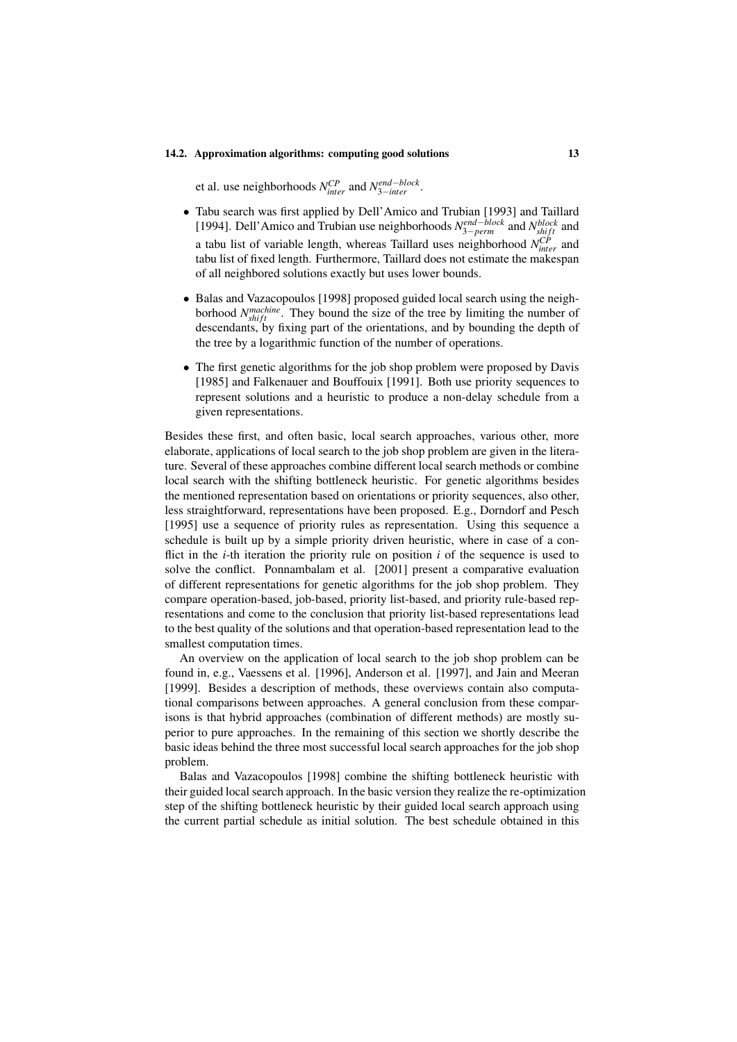et al. use neighborhoods  $N_{inter}^{CP}$  and  $N_{3-inter}^{end-block}$ .

- Tabu search was first applied by Dell'Amico and Trubian [1993] and Taillard [1994]. Dell'Amico and Trubian use neighborhoods  $N_{3-perm}^{end-block}$  and  $N_{shift}^{block}$  and a tabu list of variable length, whereas Taillard uses neighborhood *N CP inter* and tabu list of fixed length. Furthermore, Taillard does not estimate the makespan of all neighbored solutions exactly but uses lower bounds.
- Balas and Vazacopoulos [1998] proposed guided local search using the neighborhood  $N_{shift}^{machine}$ . They bound the size of the tree by limiting the number of descendants, by fixing part of the orientations, and by bounding the depth of the tree by a logarithmic function of the number of operations.
- The first genetic algorithms for the job shop problem were proposed by Davis [1985] and Falkenauer and Bouffouix [1991]. Both use priority sequences to represent solutions and a heuristic to produce a non-delay schedule from a given representations.

Besides these first, and often basic, local search approaches, various other, more elaborate, applications of local search to the job shop problem are given in the literature. Several of these approaches combine different local search methods or combine local search with the shifting bottleneck heuristic. For genetic algorithms besides the mentioned representation based on orientations or priority sequences, also other, less straightforward, representations have been proposed. E.g., Dorndorf and Pesch [1995] use a sequence of priority rules as representation. Using this sequence a schedule is built up by a simple priority driven heuristic, where in case of a conflict in the *i*-th iteration the priority rule on position *i* of the sequence is used to solve the conflict. Ponnambalam et al. [2001] present a comparative evaluation of different representations for genetic algorithms for the job shop problem. They compare operation-based, job-based, priority list-based, and priority rule-based representations and come to the conclusion that priority list-based representations lead to the best quality of the solutions and that operation-based representation lead to the smallest computation times.

An overview on the application of local search to the job shop problem can be found in, e.g., Vaessens et al. [1996], Anderson et al. [1997], and Jain and Meeran [1999]. Besides a description of methods, these overviews contain also computational comparisons between approaches. A general conclusion from these comparisons is that hybrid approaches (combination of different methods) are mostly superior to pure approaches. In the remaining of this section we shortly describe the basic ideas behind the three most successful local search approaches for the job shop problem.

Balas and Vazacopoulos [1998] combine the shifting bottleneck heuristic with their guided local search approach. In the basic version they realize the re-optimization step of the shifting bottleneck heuristic by their guided local search approach using the current partial schedule as initial solution. The best schedule obtained in this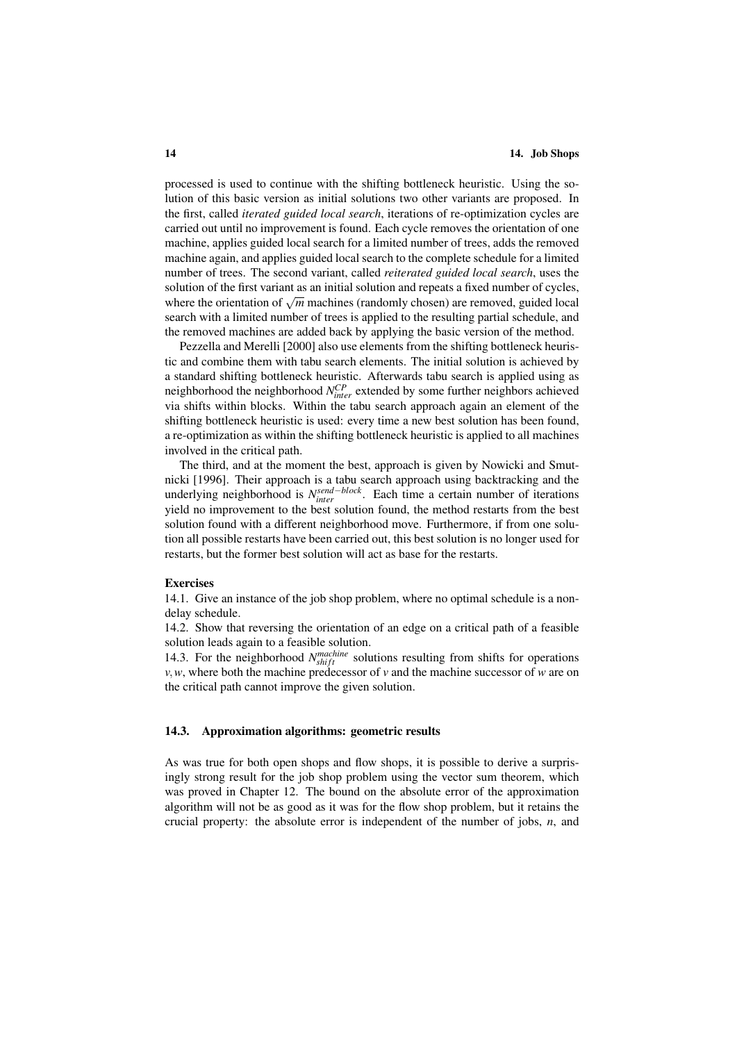processed is used to continue with the shifting bottleneck heuristic. Using the solution of this basic version as initial solutions two other variants are proposed. In the first, called *iterated guided local search*, iterations of re-optimization cycles are carried out until no improvement is found. Each cycle removes the orientation of one machine, applies guided local search for a limited number of trees, adds the removed machine again, and applies guided local search to the complete schedule for a limited number of trees. The second variant, called *reiterated guided local search*, uses the solution of the first variant as an initial solution and repeats a fixed number of cycles, solution of the first variant as an initial solution and repeats a fixed number of cycles, where the orientation of  $\sqrt{m}$  machines (randomly chosen) are removed, guided local search with a limited number of trees is applied to the resulting partial schedule, and the removed machines are added back by applying the basic version of the method.

Pezzella and Merelli [2000] also use elements from the shifting bottleneck heuristic and combine them with tabu search elements. The initial solution is achieved by a standard shifting bottleneck heuristic. Afterwards tabu search is applied using as neighborhood the neighborhood  $N_{inter}^{CP}$  extended by some further neighbors achieved via shifts within blocks. Within the tabu search approach again an element of the shifting bottleneck heuristic is used: every time a new best solution has been found, a re-optimization as within the shifting bottleneck heuristic is applied to all machines involved in the critical path.

The third, and at the moment the best, approach is given by Nowicki and Smutnicki [1996]. Their approach is a tabu search approach using backtracking and the underlying neighborhood is  $N_{inter}^{send-block}$ . Each time a certain number of iterations yield no improvement to the best solution found, the method restarts from the best solution found with a different neighborhood move. Furthermore, if from one solution all possible restarts have been carried out, this best solution is no longer used for restarts, but the former best solution will act as base for the restarts.

#### Exercises

14.1. Give an instance of the job shop problem, where no optimal schedule is a nondelay schedule.

14.2. Show that reversing the orientation of an edge on a critical path of a feasible solution leads again to a feasible solution.

14.3. For the neighborhood  $N_{shift}^{machine}$  solutions resulting from shifts for operations *v*,*w*, where both the machine predecessor of *v* and the machine successor of *w* are on the critical path cannot improve the given solution.

#### 14.3. Approximation algorithms: geometric results

As was true for both open shops and flow shops, it is possible to derive a surprisingly strong result for the job shop problem using the vector sum theorem, which was proved in Chapter 12. The bound on the absolute error of the approximation algorithm will not be as good as it was for the flow shop problem, but it retains the crucial property: the absolute error is independent of the number of jobs, *n*, and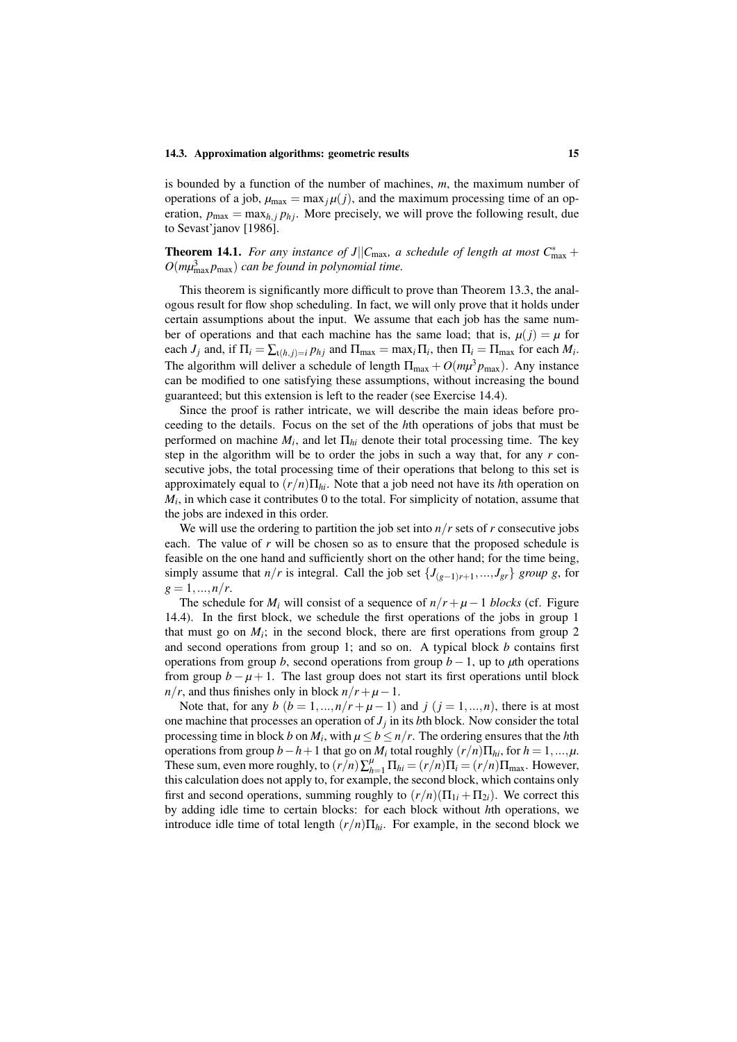#### 14.3. Approximation algorithms: geometric results 15

is bounded by a function of the number of machines, *m*, the maximum number of operations of a job,  $\mu_{\text{max}} = \max_j \mu(j)$ , and the maximum processing time of an operation,  $p_{\text{max}} = \max_{h, i} p_{hi}$ . More precisely, we will prove the following result, due to Sevast'janov [1986].

# **Theorem 14.1.** *For any instance of J* $||C_{\text{max}}$ *, a schedule of length at most*  $C_{\text{max}}^*$  +  $O(m\mu_{\max}^3 p_{\max})$  *can be found in polynomial time.*

This theorem is significantly more difficult to prove than Theorem 13.3, the analogous result for flow shop scheduling. In fact, we will only prove that it holds under certain assumptions about the input. We assume that each job has the same number of operations and that each machine has the same load; that is,  $\mu(j) = \mu$  for each *J<sub>j</sub>* and, if  $\Pi_i = \sum_{i(h,j)=i} p_{hj}$  and  $\Pi_{\text{max}} = \max_i \Pi_i$ , then  $\Pi_i = \Pi_{\text{max}}$  for each  $M_i$ . The algorithm will deliver a schedule of length  $\Pi_{\text{max}} + O(m\mu^3 p_{\text{max}})$ . Any instance can be modified to one satisfying these assumptions, without increasing the bound guaranteed; but this extension is left to the reader (see Exercise 14.4).

Since the proof is rather intricate, we will describe the main ideas before proceeding to the details. Focus on the set of the *h*th operations of jobs that must be performed on machine  $M_i$ , and let  $\Pi_{hi}$  denote their total processing time. The key step in the algorithm will be to order the jobs in such a way that, for any *r* consecutive jobs, the total processing time of their operations that belong to this set is approximately equal to  $(r/n)\prod_{hi}$ . Note that a job need not have its *h*th operation on  $M_i$ , in which case it contributes 0 to the total. For simplicity of notation, assume that the jobs are indexed in this order.

We will use the ordering to partition the job set into  $n/r$  sets of  $r$  consecutive jobs each. The value of *r* will be chosen so as to ensure that the proposed schedule is feasible on the one hand and sufficiently short on the other hand; for the time being, simply assume that *n*/*r* is integral. Call the job set  $\{J_{(g-1)r+1},..., J_{gr}\}$  *group g*, for  $g = 1, ..., n/r$ .

The schedule for  $M_i$  will consist of a sequence of  $n/r + \mu - 1$  *blocks* (cf. Figure 14.4). In the first block, we schedule the first operations of the jobs in group 1 that must go on  $M_i$ ; in the second block, there are first operations from group 2 and second operations from group 1; and so on. A typical block *b* contains first operations from group *b*, second operations from group *b* − 1, up to  $\mu$ th operations from group  $b - \mu + 1$ . The last group does not start its first operations until block  $n/r$ , and thus finishes only in block  $n/r + \mu - 1$ .

Note that, for any  $b$  ( $b = 1, ..., n/r + \mu - 1$ ) and  $j$  ( $j = 1, ..., n$ ), there is at most one machine that processes an operation of  $J_j$  in its *b*th block. Now consider the total processing time in block *b* on  $M_i$ , with  $\mu \le b \le n/r$ . The ordering ensures that the *h*th operations from group  $b - h + 1$  that go on  $M_i$  total roughly  $(r/n)\Pi_{hi}$ , for  $h = 1, ..., \mu$ . These sum, even more roughly, to  $(r/n)\sum_{h=1}^{u} \Pi_{hi} = (r/n)\Pi_i = (r/n)\Pi_{\text{max}}$ . However, this calculation does not apply to, for example, the second block, which contains only first and second operations, summing roughly to  $(r/n)(\Pi_{1i} + \Pi_{2i})$ . We correct this by adding idle time to certain blocks: for each block without *h*th operations, we introduce idle time of total length  $(r/n)\Pi_{hi}$ . For example, in the second block we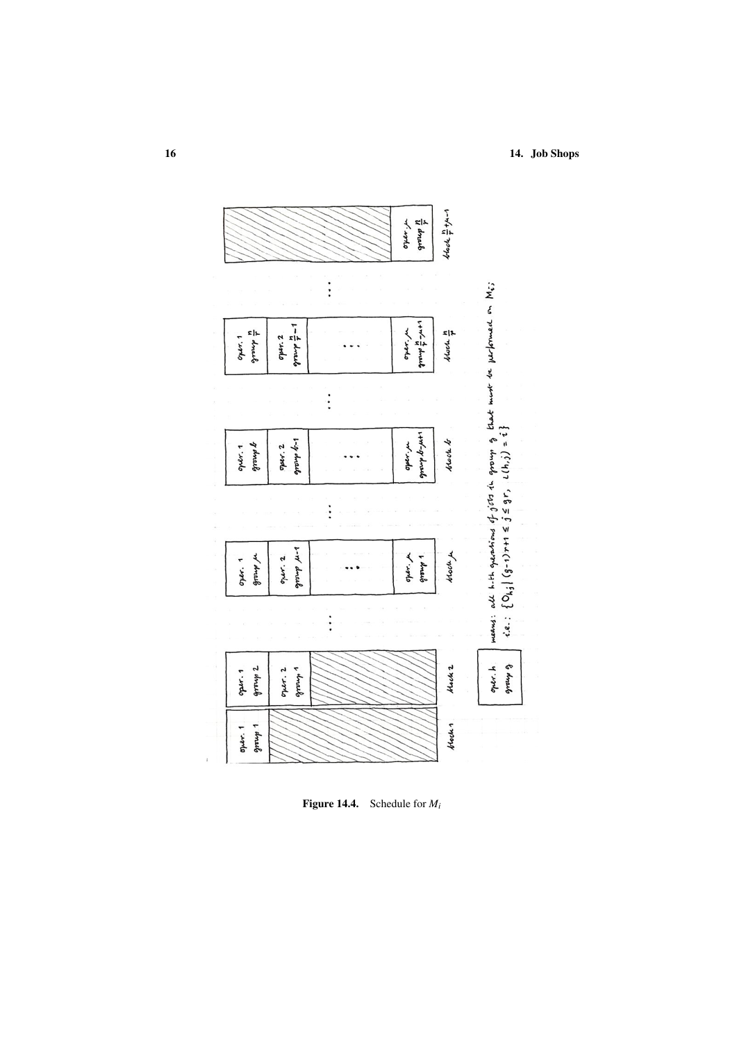

Figure 14.4. Schedule for *Mi*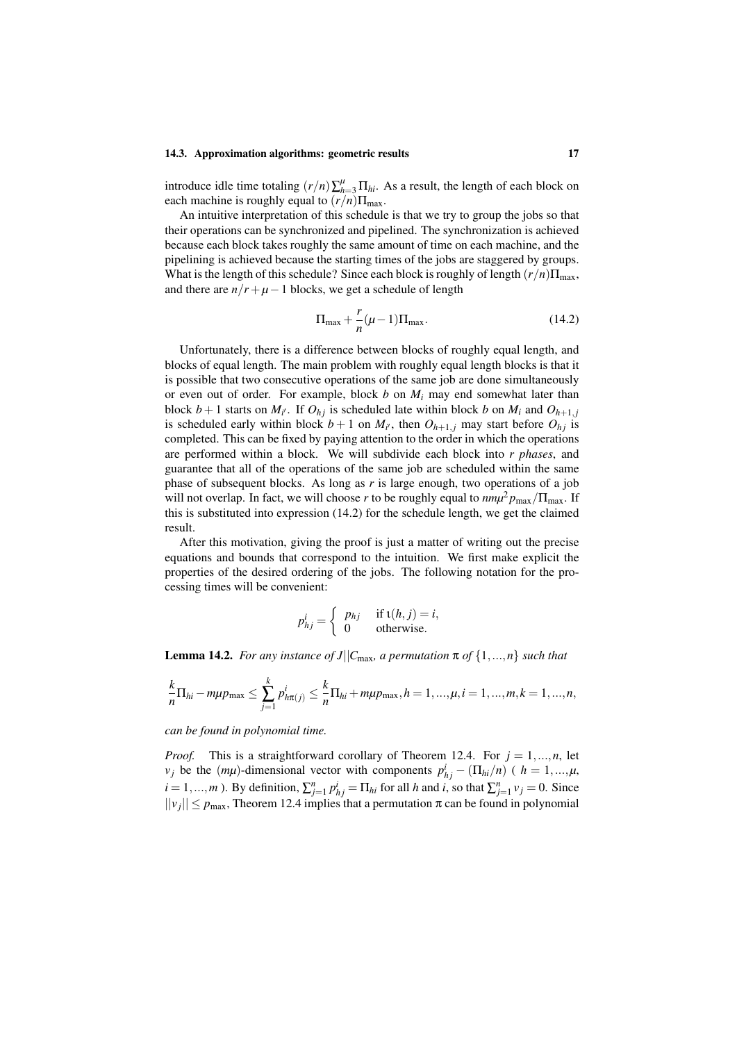#### 14.3. Approximation algorithms: geometric results 17

introduce idle time totaling  $(r/n)\sum_{h=3}^{M} \prod_{hi}$ . As a result, the length of each block on each machine is roughly equal to  $(r/n)\Pi_{\text{max}}$ .

An intuitive interpretation of this schedule is that we try to group the jobs so that their operations can be synchronized and pipelined. The synchronization is achieved because each block takes roughly the same amount of time on each machine, and the pipelining is achieved because the starting times of the jobs are staggered by groups. What is the length of this schedule? Since each block is roughly of length  $(r/n)\Pi_{\text{max}}$ , and there are  $n/r + \mu - 1$  blocks, we get a schedule of length

$$
\Pi_{\text{max}} + \frac{r}{n}(\mu - 1)\Pi_{\text{max}}.\tag{14.2}
$$

Unfortunately, there is a difference between blocks of roughly equal length, and blocks of equal length. The main problem with roughly equal length blocks is that it is possible that two consecutive operations of the same job are done simultaneously or even out of order. For example, block  $b$  on  $M_i$  may end somewhat later than block  $b+1$  starts on  $M_{i'}$ . If  $O_{hj}$  is scheduled late within block *b* on  $M_i$  and  $O_{h+1,j}$ is scheduled early within block  $b + 1$  on  $M_{i'}$ , then  $O_{h+1,j}$  may start before  $O_{h,j}$  is completed. This can be fixed by paying attention to the order in which the operations are performed within a block. We will subdivide each block into *r phases*, and guarantee that all of the operations of the same job are scheduled within the same phase of subsequent blocks. As long as *r* is large enough, two operations of a job will not overlap. In fact, we will choose *r* to be roughly equal to  $nm\mu^2 p_{\text{max}}/\Pi_{\text{max}}$ . If this is substituted into expression (14.2) for the schedule length, we get the claimed result.

After this motivation, giving the proof is just a matter of writing out the precise equations and bounds that correspond to the intuition. We first make explicit the properties of the desired ordering of the jobs. The following notation for the processing times will be convenient:

$$
p_{hj}^{i} = \begin{cases} p_{hj} & \text{if } \mathfrak{t}(h,j) = i, \\ 0 & \text{otherwise.} \end{cases}
$$

**Lemma 14.2.** *For any instance of J*|| $C_{\text{max}}$ *, a permutation*  $\pi$  *of*  $\{1, ..., n\}$  *such that* 

$$
\frac{k}{n}\Pi_{hi} - m\mu p_{\max} \le \sum_{j=1}^k p_{h\pi(j)}^i \le \frac{k}{n}\Pi_{hi} + m\mu p_{\max}, h = 1, ..., \mu, i = 1, ..., m, k = 1, ..., n,
$$

*can be found in polynomial time.*

*Proof.* This is a straightforward corollary of Theorem 12.4. For  $j = 1, ..., n$ , let *v*<sub>j</sub> be the  $(m\mu)$ -dimensional vector with components  $p_{hj}^i - (\Pi_{hi}/n)$  (  $h = 1,...,\mu$ ,  $i = 1, ..., m$ ). By definition,  $\sum_{j=1}^{n} p_{hj}^{i} = \prod_{hi}$  for all *h* and *i*, so that  $\sum_{j=1}^{n} v_j = 0$ . Since  $||v_j|| \leq p_{\text{max}}$ , Theorem 12.4 implies that a permutation  $\pi$  can be found in polynomial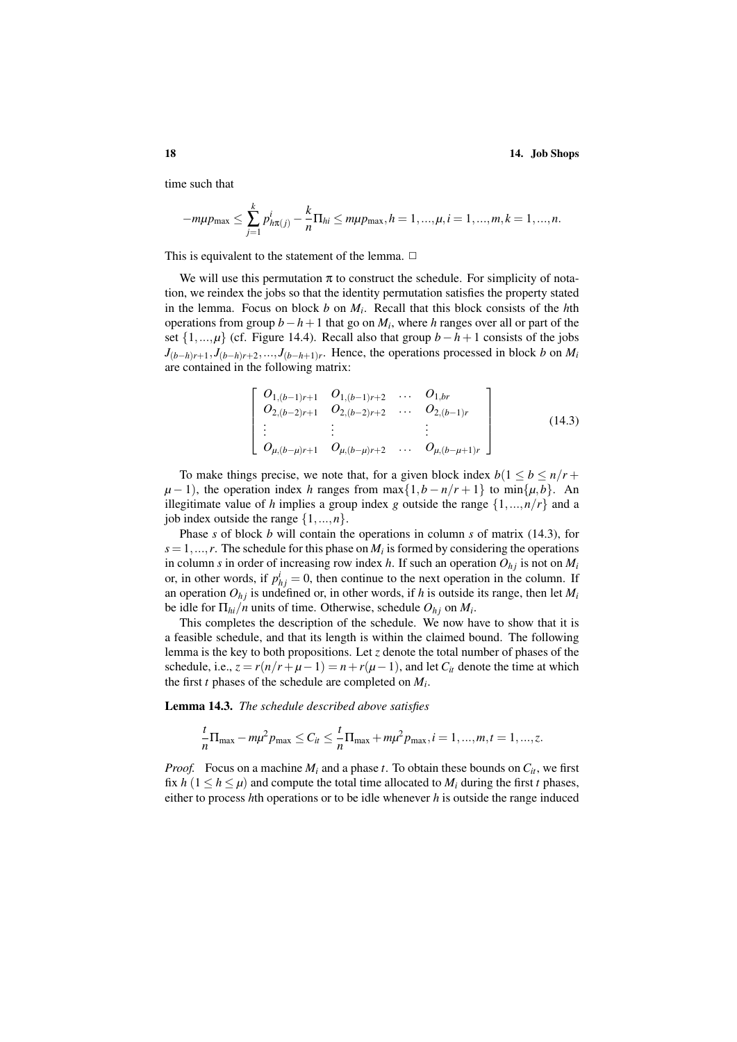time such that

$$
-m\mu p_{\max} \leq \sum_{j=1}^k p_{h\pi(j)}^i - \frac{k}{n} \Pi_{hi} \leq m\mu p_{\max}, h = 1, ..., \mu, i = 1, ..., m, k = 1, ..., n.
$$

This is equivalent to the statement of the lemma.  $\Box$ 

We will use this permutation  $\pi$  to construct the schedule. For simplicity of notation, we reindex the jobs so that the identity permutation satisfies the property stated in the lemma. Focus on block *b* on *M<sup>i</sup>* . Recall that this block consists of the *h*th operations from group *b*−*h*+1 that go on *M<sup>i</sup>* , where *h* ranges over all or part of the set  $\{1,..., \mu\}$  (cf. Figure 14.4). Recall also that group *b*−*h*+1 consists of the jobs  $J_{(b-h)r+1}, J_{(b-h)r+2}, \ldots, J_{(b-h+1)r}$ . Hence, the operations processed in block *b* on *M<sub>i</sub>* are contained in the following matrix:

$$
\begin{bmatrix}\nO_{1,(b-1)r+1} & O_{1,(b-1)r+2} & \dots & O_{1,br} \\
O_{2,(b-2)r+1} & O_{2,(b-2)r+2} & \dots & O_{2,(b-1)r} \\
\vdots & \vdots & \vdots & \vdots \\
O_{\mu,(b-\mu)r+1} & O_{\mu,(b-\mu)r+2} & \dots & O_{\mu,(b-\mu+1)r}\n\end{bmatrix}
$$
\n(14.3)

To make things precise, we note that, for a given block index  $b(1 \leq b \leq n/r + 1)$  $\mu - 1$ , the operation index *h* ranges from max $\{1, b - n/r + 1\}$  to min $\{\mu, b\}$ . An illegitimate value of *h* implies a group index *g* outside the range  $\{1, ..., n/r\}$  and a job index outside the range  $\{1,...,n\}$ .

Phase *s* of block *b* will contain the operations in column *s* of matrix (14.3), for  $s = 1, \ldots, r$ . The schedule for this phase on  $M_i$  is formed by considering the operations in column *s* in order of increasing row index *h*. If such an operation  $O_{hj}$  is not on  $M_i$ or, in other words, if  $p_{hj}^i = 0$ , then continue to the next operation in the column. If an operation  $O_{hi}$  is undefined or, in other words, if *h* is outside its range, then let  $M_i$ be idle for  $\Pi_{hi}/n$  units of time. Otherwise, schedule  $O_{hj}$  on  $M_i$ .

This completes the description of the schedule. We now have to show that it is a feasible schedule, and that its length is within the claimed bound. The following lemma is the key to both propositions. Let *z* denote the total number of phases of the schedule, i.e.,  $z = r(n/r + \mu - 1) = n + r(\mu - 1)$ , and let  $C_i$  denote the time at which the first *t* phases of the schedule are completed on *M<sup>i</sup>* .

Lemma 14.3. *The schedule described above satisfies*

$$
\frac{t}{n}\Pi_{\max} - m\mu^2 p_{\max} \le C_{it} \le \frac{t}{n}\Pi_{\max} + m\mu^2 p_{\max}, i = 1, ..., m, t = 1, ..., z.
$$

*Proof.* Focus on a machine  $M_i$  and a phase *t*. To obtain these bounds on  $C_i$ , we first fix  $h$  ( $1 \le h \le \mu$ ) and compute the total time allocated to  $M_i$  during the first *t* phases, either to process *h*th operations or to be idle whenever *h* is outside the range induced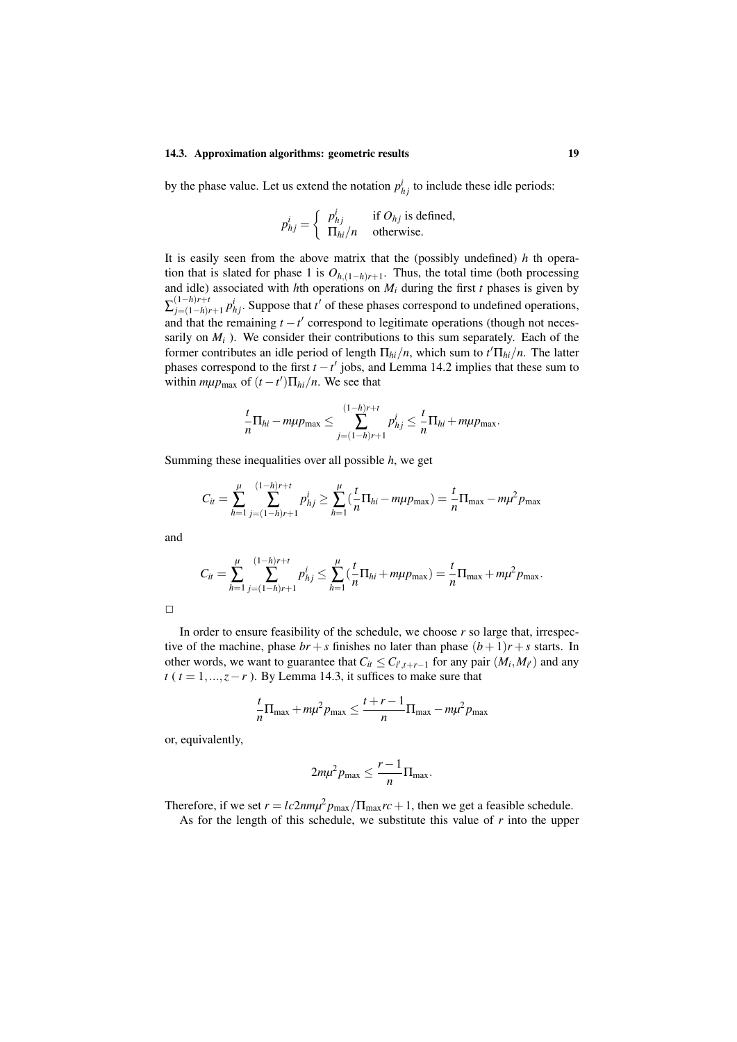#### 14.3. Approximation algorithms: geometric results 19

by the phase value. Let us extend the notation  $p_{hj}^{i}$  to include these idle periods:

$$
p_{hj}^{i} = \begin{cases} p_{hj}^{i} & \text{if } O_{hj} \text{ is defined,} \\ \Pi_{hi}/n & \text{otherwise.} \end{cases}
$$

It is easily seen from the above matrix that the (possibly undefined) *h* th operation that is slated for phase 1 is  $O_{h,(1-h)r+1}$ . Thus, the total time (both processing and idle) associated with  $h$ th operations on  $M_i$  during the first  $t$  phases is given by  $\sum_{j=(1-h)i}^{(1-h)r+t}$  $j = (1-h)r+1$   $p_{hj}^i$ . Suppose that *t*<sup>'</sup> of these phases correspond to undefined operations, and that the remaining  $t - t'$  correspond to legitimate operations (though not necessarily on  $M_i$ ). We consider their contributions to this sum separately. Each of the former contributes an idle period of length  $\Pi_{hi}/n$ , which sum to  $t'\Pi_{hi}/n$ . The latter phases correspond to the first  $t - t'$  jobs, and Lemma 14.2 implies that these sum to within  $m\mu p_{\text{max}}$  of  $(t - t')\prod_{hi}/n$ . We see that

$$
\frac{t}{n}\Pi_{hi}-m\mu p_{\max}\leq \sum_{j=(1-h)r+1}^{(1-h)r+t}p_{hj}^i\leq \frac{t}{n}\Pi_{hi}+m\mu p_{\max}.
$$

Summing these inequalities over all possible *h*, we get

$$
C_{it} = \sum_{h=1}^{\mu} \sum_{j=(1-h)r+1}^{(1-h)r+t} p_{hj}^{i} \ge \sum_{h=1}^{\mu} \left( \frac{t}{n} \Pi_{hi} - m\mu p_{\text{max}} \right) = \frac{t}{n} \Pi_{\text{max}} - m\mu^{2} p_{\text{max}}
$$

and

$$
C_{it} = \sum_{h=1}^{\mu} \sum_{j=(1-h)r+1}^{(1-h)r+t} p_{hj}^{i} \leq \sum_{h=1}^{\mu} \left( \frac{t}{n} \Pi_{hi} + m\mu p_{\max} \right) = \frac{t}{n} \Pi_{\max} + m\mu^{2} p_{\max}.
$$

In order to ensure feasibility of the schedule, we choose *r* so large that, irrespective of the machine, phase  $br + s$  finishes no later than phase  $(b+1)r + s$  starts. In other words, we want to guarantee that  $C_i \leq C_{i',t+r-1}$  for any pair  $(M_i, M_{i'})$  and any *t* ( $t = 1, \ldots, z - r$ ). By Lemma 14.3, it suffices to make sure that

$$
\frac{t}{n}\Pi_{\text{max}} + m\mu^2 p_{\text{max}} \le \frac{t+r-1}{n}\Pi_{\text{max}} - m\mu^2 p_{\text{max}}
$$

or, equivalently,

$$
2m\mu^2 p_{\max} \leq \frac{r-1}{n} \Pi_{\max}.
$$

Therefore, if we set  $r = lc2nm\mu^2 p_{max}/\Pi_{max} r c + 1$ , then we get a feasible schedule. As for the length of this schedule, we substitute this value of *r* into the upper